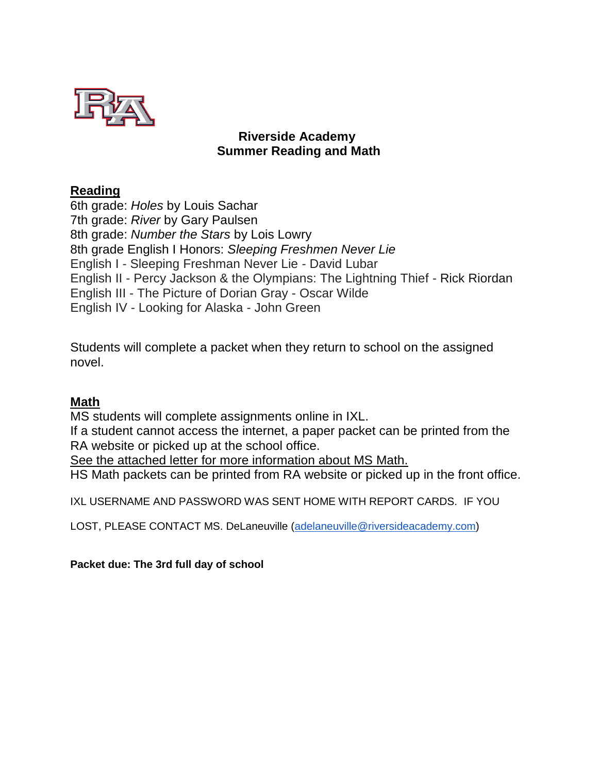

# **Riverside Academy Summer Reading and Math**

## **Reading**

6th grade: *Holes* by Louis Sachar 7th grade: *River* by Gary Paulsen 8th grade: *Number the Stars* by Lois Lowry 8th grade English I Honors: *Sleeping Freshmen Never Lie* English I - Sleeping Freshman Never Lie - David Lubar English II - Percy Jackson & the Olympians: The Lightning Thief - Rick Riordan English III - The Picture of Dorian Gray - Oscar Wilde English IV - Looking for Alaska - John Green

Students will complete a packet when they return to school on the assigned novel.

# **Math**

MS students will complete assignments online in IXL.

If a student cannot access the internet, a paper packet can be printed from the RA website or picked up at the school office.

See the attached letter for more information about MS Math.

HS Math packets can be printed from RA website or picked up in the front office.

IXL USERNAME AND PASSWORD WAS SENT HOME WITH REPORT CARDS. IF YOU

LOST, PLEASE CONTACT MS. DeLaneuville [\(adelaneuville@riversideacademy.com\)](mailto:adelaneuville@riversideacademy.com)

**Packet due: The 3rd full day of school**